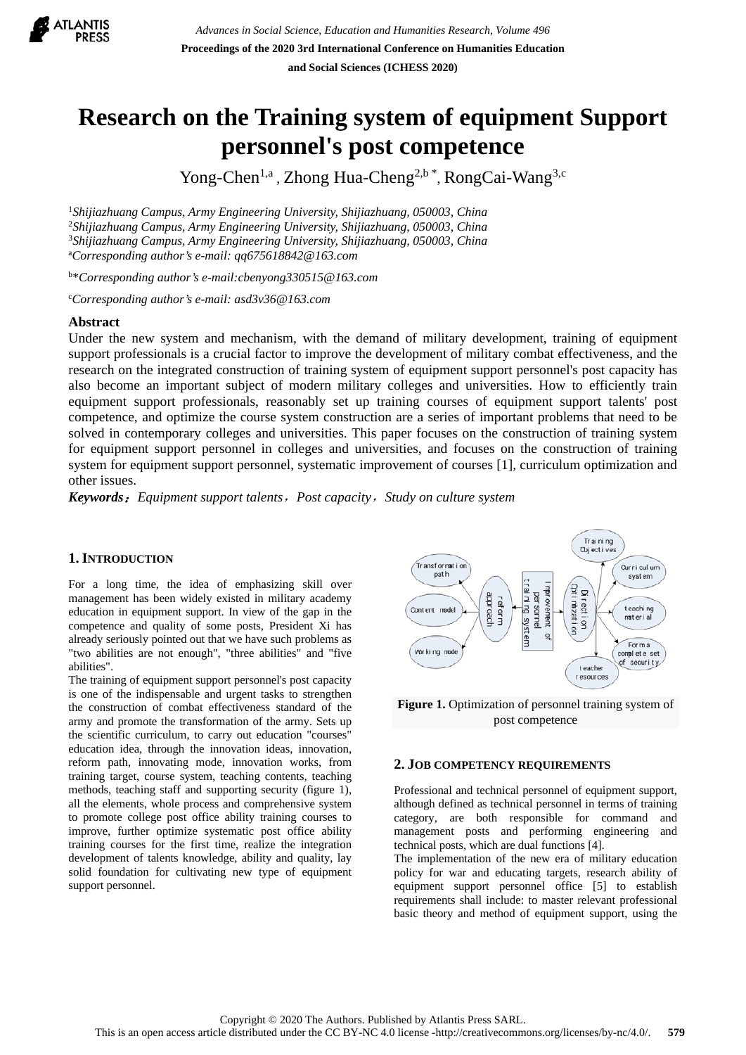

# **Research on the Training system of equipment Support personnel's post competence**

Yong-Chen<sup>1,a</sup>, Zhong Hua-Cheng<sup>2,b \*</sup>, RongCai-Wang<sup>3,c</sup>

 *Shijiazhuang Campus, Army Engineering University, Shijiazhuang, 050003, China Shijiazhuang Campus, Army Engineering University, Shijiazhuang, 050003, China Shijiazhuang Campus, Army Engineering University, Shijiazhuang, 050003, China* a *Corresponding author's e-mail: qq675618842@163.com*

b \**Corresponding author's e-mail:cbenyong330515@163.com*

c *Corresponding author's e-mail: asd3v36@163.com*

#### **Abstract**

Under the new system and mechanism, with the demand of military development, training of equipment support professionals is a crucial factor to improve the development of military combat effectiveness, and the research on the integrated construction of training system of equipment support personnel's post capacity has also become an important subject of modern military colleges and universities. How to efficiently train equipment support professionals, reasonably set up training courses of equipment support talents' post competence, and optimize the course system construction are a series of important problems that need to be solved in contemporary colleges and universities. This paper focuses on the construction of training system for equipment support personnel in colleges and universities, and focuses on the construction of training system for equipment support personnel, systematic improvement of courses [1], curriculum optimization and other issues.

*Keywords*:*Equipment support talents*,*Post capacity*,*Study on culture system*

#### **1.INTRODUCTION**

For a long time, the idea of emphasizing skill over management has been widely existed in military academy education in equipment support. In view of the gap in the competence and quality of some posts, President Xi has already seriously pointed out that we have such problems as "two abilities are not enough", "three abilities" and "five abilities".

The training of equipment support personnel's post capacity is one of the indispensable and urgent tasks to strengthen the construction of combat effectiveness standard of the army and promote the transformation of the army. Sets up the scientific curriculum, to carry out education "courses" education idea, through the innovation ideas, innovation, reform path, innovating mode, innovation works, from training target, course system, teaching contents, teaching methods, teaching staff and supporting security (figure 1), all the elements, whole process and comprehensive system to promote college post office ability training courses to improve, further optimize systematic post office ability training courses for the first time, realize the integration development of talents knowledge, ability and quality, lay solid foundation for cultivating new type of equipment support personnel.



Figure 1. Optimization of personnel training system of post competence

#### **2. JOB COMPETENCY REQUIREMENTS**

Professional and technical personnel of equipment support, although defined as technical personnel in terms of training category, are both responsible for command and management posts and performing engineering and technical posts, which are dual functions [4].

The implementation of the new era of military education policy for war and educating targets, research ability of equipment support personnel office [5] to establish requirements shall include: to master relevant professional basic theory and method of equipment support, using the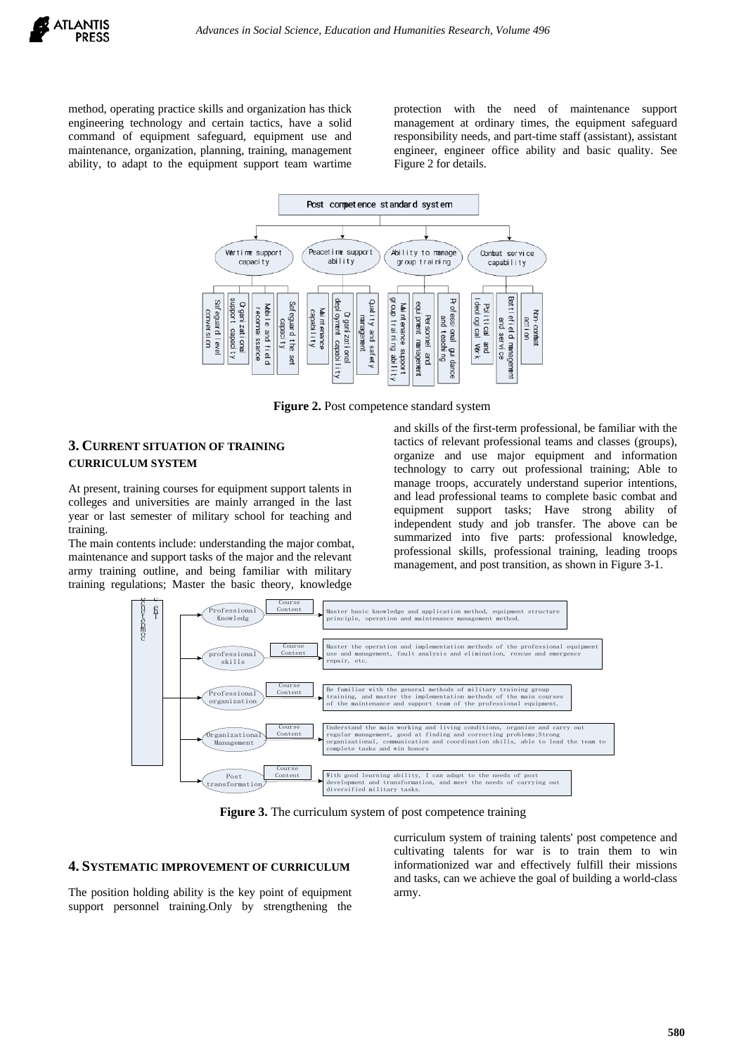method, operating practice skills and organization has thick engineering technology and certain tactics, have a solid command of equipment safeguard, equipment use and maintenance, organization, planning, training, management ability, to adapt to the equipment support team wartime protection with the need of maintenance support management at ordinary times, the equipment safeguard responsibility needs, and part-time staff (assistant), assistant engineer, engineer office ability and basic quality. See Figure 2 for details.



**Figure 2.** Post competence standard system

#### **3. CURRENT SITUATION OF TRAINING CURRICULUM SYSTEM**

At present, training courses for equipment support talents in colleges and universities are mainly arranged in the last year or last semester of military school for teaching and training.

The main contents include: understanding the major combat, maintenance and support tasks of the major and the relevant army training outline, and being familiar with military training regulations; Master the basic theory, knowledge

and skills of the first-term professional, be familiar with the tactics of relevant professional teams and classes (groups), organize and use major equipment and information technology to carry out professional training; Able to manage troops, accurately understand superior intentions, and lead professional teams to complete basic combat and equipment support tasks; Have strong ability of independent study and job transfer. The above can be summarized into five parts: professional knowledge, professional skills, professional training, leading troops management, and post transition, as shown in Figure 3-1.



**Figure 3.** The curriculum system of post competence training

#### **4. SYSTEMATIC IMPROVEMENT OF CURRICULUM**

The position holding ability is the key point of equipment support personnel training.Only by strengthening the curriculum system of training talents' post competence and cultivating talents for war is to train them to win informationized war and effectively fulfill their missions and tasks, can we achieve the goal of building a world-class army.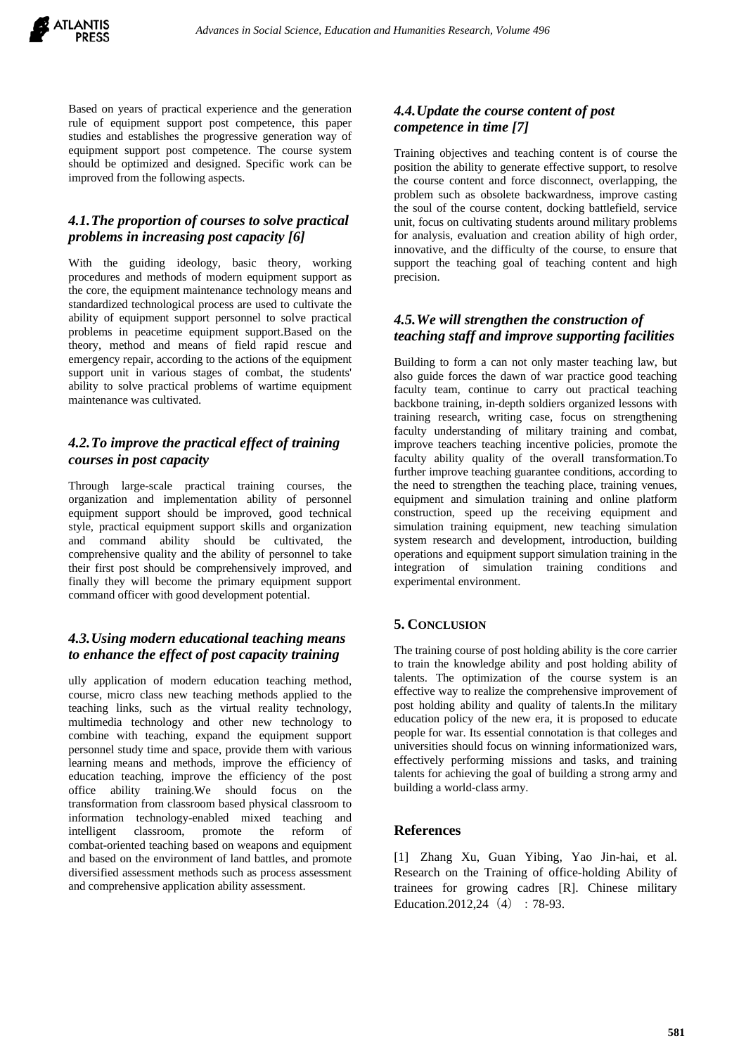

Based on years of practical experience and the generation rule of equipment support post competence, this paper studies and establishes the progressive generation way of equipment support post competence. The course system should be optimized and designed. Specific work can be improved from the following aspects.

## *4.1.The proportion of courses to solve practical problems in increasing post capacity [6]*

With the guiding ideology, basic theory, working procedures and methods of modern equipment support as the core, the equipment maintenance technology means and standardized technological process are used to cultivate the ability of equipment support personnel to solve practical problems in peacetime equipment support.Based on the theory, method and means of field rapid rescue and emergency repair, according to the actions of the equipment support unit in various stages of combat, the students' ability to solve practical problems of wartime equipment maintenance was cultivated.

## *4.2.To improve the practical effect of training courses in post capacity*

Through large-scale practical training courses, the organization and implementation ability of personnel equipment support should be improved, good technical style, practical equipment support skills and organization and command ability should be cultivated, the comprehensive quality and the ability of personnel to take their first post should be comprehensively improved, and finally they will become the primary equipment support command officer with good development potential.

# *4.3.Using modern educational teaching means to enhance the effect of post capacity training*

ully application of modern education teaching method, course, micro class new teaching methods applied to the teaching links, such as the virtual reality technology, multimedia technology and other new technology to combine with teaching, expand the equipment support personnel study time and space, provide them with various learning means and methods, improve the efficiency of education teaching, improve the efficiency of the post office ability training.We should focus on the transformation from classroom based physical classroom to information technology-enabled mixed teaching and intelligent classroom, promote the reform of combat-oriented teaching based on weapons and equipment and based on the environment of land battles, and promote diversified assessment methods such as process assessment and comprehensive application ability assessment.

## *4.4.Update the course content of post competence in time [7]*

Training objectives and teaching content is of course the position the ability to generate effective support, to resolve the course content and force disconnect, overlapping, the problem such as obsolete backwardness, improve casting the soul of the course content, docking battlefield, service unit, focus on cultivating students around military problems for analysis, evaluation and creation ability of high order, innovative, and the difficulty of the course, to ensure that support the teaching goal of teaching content and high precision.

# *4.5.We will strengthen the construction of teaching staff and improve supporting facilities*

Building to form a can not only master teaching law, but also guide forces the dawn of war practice good teaching faculty team, continue to carry out practical teaching backbone training, in-depth soldiers organized lessons with training research, writing case, focus on strengthening faculty understanding of military training and combat, improve teachers teaching incentive policies, promote the faculty ability quality of the overall transformation.To further improve teaching guarantee conditions, according to the need to strengthen the teaching place, training venues, equipment and simulation training and online platform construction, speed up the receiving equipment and simulation training equipment, new teaching simulation system research and development, introduction, building operations and equipment support simulation training in the integration of simulation training conditions and experimental environment.

## **5. CONCLUSION**

The training course of post holding ability is the core carrier to train the knowledge ability and post holding ability of talents. The optimization of the course system is an effective way to realize the comprehensive improvement of post holding ability and quality of talents.In the military education policy of the new era, it is proposed to educate people for war. Its essential connotation is that colleges and universities should focus on winning informationized wars, effectively performing missions and tasks, and training talents for achieving the goal of building a strong army and building a world-class army.

#### **References**

[1] Zhang Xu, Guan Yibing, Yao Jin-hai, et al. Research on the Training of office-holding Ability of trainees for growing cadres [R]. Chinese military Education.2012.24  $(4)$ : 78-93.